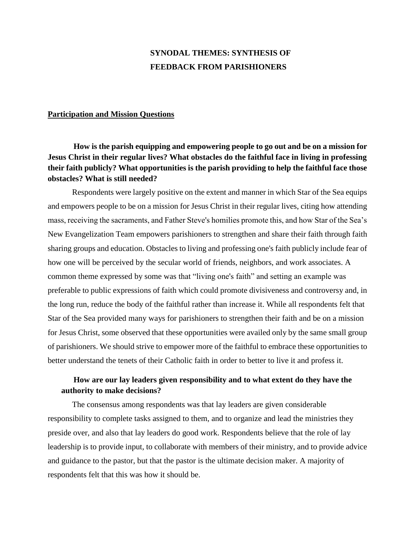# **SYNODAL THEMES: SYNTHESIS OF FEEDBACK FROM PARISHIONERS**

#### **Participation and Mission Questions**

**How is the parish equipping and empowering people to go out and be on a mission for Jesus Christ in their regular lives? What obstacles do the faithful face in living in professing their faith publicly? What opportunities is the parish providing to help the faithful face those obstacles? What is still needed?**

Respondents were largely positive on the extent and manner in which Star of the Sea equips and empowers people to be on a mission for Jesus Christ in their regular lives, citing how attending mass, receiving the sacraments, and Father Steve's homilies promote this, and how Star of the Sea's New Evangelization Team empowers parishioners to strengthen and share their faith through faith sharing groups and education. Obstacles to living and professing one's faith publicly include fear of how one will be perceived by the secular world of friends, neighbors, and work associates. A common theme expressed by some was that "living one's faith" and setting an example was preferable to public expressions of faith which could promote divisiveness and controversy and, in the long run, reduce the body of the faithful rather than increase it. While all respondents felt that Star of the Sea provided many ways for parishioners to strengthen their faith and be on a mission for Jesus Christ, some observed that these opportunities were availed only by the same small group of parishioners. We should strive to empower more of the faithful to embrace these opportunities to better understand the tenets of their Catholic faith in order to better to live it and profess it.

### **How are our lay leaders given responsibility and to what extent do they have the authority to make decisions?**

The consensus among respondents was that lay leaders are given considerable responsibility to complete tasks assigned to them, and to organize and lead the ministries they preside over, and also that lay leaders do good work. Respondents believe that the role of lay leadership is to provide input, to collaborate with members of their ministry, and to provide advice and guidance to the pastor, but that the pastor is the ultimate decision maker. A majority of respondents felt that this was how it should be.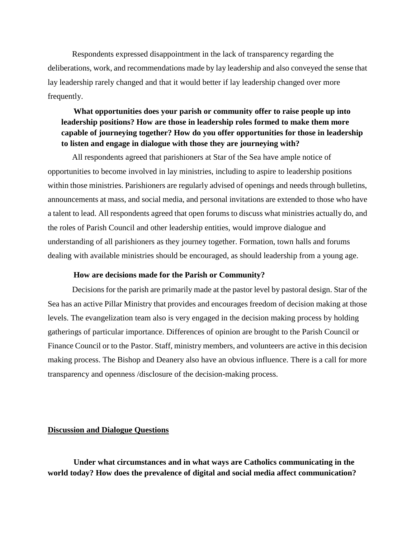Respondents expressed disappointment in the lack of transparency regarding the deliberations, work, and recommendations made by lay leadership and also conveyed the sense that lay leadership rarely changed and that it would better if lay leadership changed over more frequently.

## **What opportunities does your parish or community offer to raise people up into leadership positions? How are those in leadership roles formed to make them more capable of journeying together? How do you offer opportunities for those in leadership to listen and engage in dialogue with those they are journeying with?**

All respondents agreed that parishioners at Star of the Sea have ample notice of opportunities to become involved in lay ministries, including to aspire to leadership positions within those ministries. Parishioners are regularly advised of openings and needs through bulletins, announcements at mass, and social media, and personal invitations are extended to those who have a talent to lead. All respondents agreed that open forums to discuss what ministries actually do, and the roles of Parish Council and other leadership entities, would improve dialogue and understanding of all parishioners as they journey together. Formation, town halls and forums dealing with available ministries should be encouraged, as should leadership from a young age.

#### **How are decisions made for the Parish or Community?**

Decisions for the parish are primarily made at the pastor level by pastoral design. Star of the Sea has an active Pillar Ministry that provides and encourages freedom of decision making at those levels. The evangelization team also is very engaged in the decision making process by holding gatherings of particular importance. Differences of opinion are brought to the Parish Council or Finance Council or to the Pastor. Staff, ministry members, and volunteers are active in this decision making process. The Bishop and Deanery also have an obvious influence. There is a call for more transparency and openness /disclosure of the decision-making process.

#### **Discussion and Dialogue Questions**

**Under what circumstances and in what ways are Catholics communicating in the world today? How does the prevalence of digital and social media affect communication?**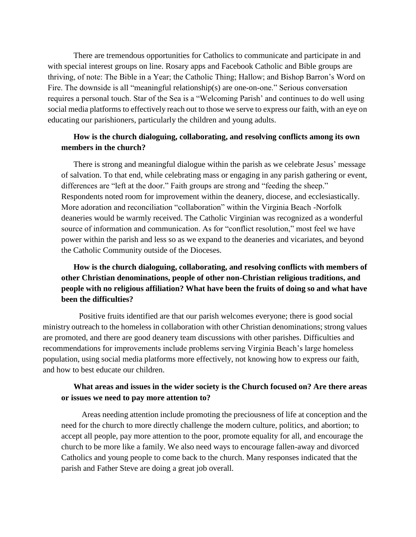There are tremendous opportunities for Catholics to communicate and participate in and with special interest groups on line. Rosary apps and Facebook Catholic and Bible groups are thriving, of note: The Bible in a Year; the Catholic Thing; Hallow; and Bishop Barron's Word on Fire. The downside is all "meaningful relationship(s) are one-on-one." Serious conversation requires a personal touch. Star of the Sea is a "Welcoming Parish' and continues to do well using social media platforms to effectively reach out to those we serve to express our faith, with an eye on educating our parishioners, particularly the children and young adults.

### **How is the church dialoguing, collaborating, and resolving conflicts among its own members in the church?**

There is strong and meaningful dialogue within the parish as we celebrate Jesus' message of salvation. To that end, while celebrating mass or engaging in any parish gathering or event, differences are "left at the door." Faith groups are strong and "feeding the sheep." Respondents noted room for improvement within the deanery, diocese, and ecclesiastically. More adoration and reconciliation "collaboration" within the Virginia Beach -Norfolk deaneries would be warmly received. The Catholic Virginian was recognized as a wonderful source of information and communication. As for "conflict resolution," most feel we have power within the parish and less so as we expand to the deaneries and vicariates, and beyond the Catholic Community outside of the Dioceses.

## **How is the church dialoguing, collaborating, and resolving conflicts with members of other Christian denominations, people of other non-Christian religious traditions, and people with no religious affiliation? What have been the fruits of doing so and what have been the difficulties?**

Positive fruits identified are that our parish welcomes everyone; there is good social ministry outreach to the homeless in collaboration with other Christian denominations; strong values are promoted, and there are good deanery team discussions with other parishes. Difficulties and recommendations for improvements include problems serving Virginia Beach's large homeless population, using social media platforms more effectively, not knowing how to express our faith, and how to best educate our children.

### **What areas and issues in the wider society is the Church focused on? Are there areas or issues we need to pay more attention to?**

Areas needing attention include promoting the preciousness of life at conception and the need for the church to more directly challenge the modern culture, politics, and abortion; to accept all people, pay more attention to the poor, promote equality for all, and encourage the church to be more like a family. We also need ways to encourage fallen-away and divorced Catholics and young people to come back to the church. Many responses indicated that the parish and Father Steve are doing a great job overall.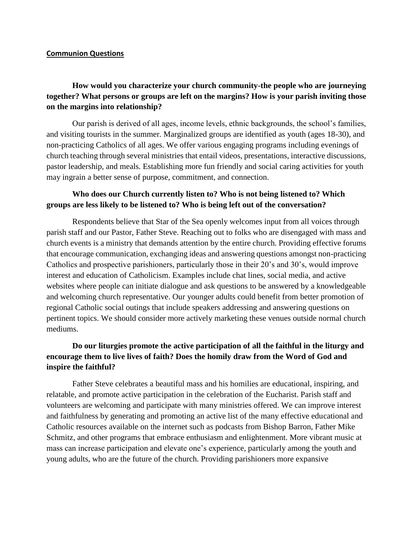#### **Communion Questions**

## **How would you characterize your church community-the people who are journeying together? What persons or groups are left on the margins? How is your parish inviting those on the margins into relationship?**

Our parish is derived of all ages, income levels, ethnic backgrounds, the school's families, and visiting tourists in the summer. Marginalized groups are identified as youth (ages 18-30), and non-practicing Catholics of all ages. We offer various engaging programs including evenings of church teaching through several ministries that entail videos, presentations, interactive discussions, pastor leadership, and meals. Establishing more fun friendly and social caring activities for youth may ingrain a better sense of purpose, commitment, and connection.

### **Who does our Church currently listen to? Who is not being listened to? Which groups are less likely to be listened to? Who is being left out of the conversation?**

Respondents believe that Star of the Sea openly welcomes input from all voices through parish staff and our Pastor, Father Steve. Reaching out to folks who are disengaged with mass and church events is a ministry that demands attention by the entire church. Providing effective forums that encourage communication, exchanging ideas and answering questions amongst non-practicing Catholics and prospective parishioners, particularly those in their 20's and 30's, would improve interest and education of Catholicism. Examples include chat lines, social media, and active websites where people can initiate dialogue and ask questions to be answered by a knowledgeable and welcoming church representative. Our younger adults could benefit from better promotion of regional Catholic social outings that include speakers addressing and answering questions on pertinent topics. We should consider more actively marketing these venues outside normal church mediums.

## **Do our liturgies promote the active participation of all the faithful in the liturgy and encourage them to live lives of faith? Does the homily draw from the Word of God and inspire the faithful?**

Father Steve celebrates a beautiful mass and his homilies are educational, inspiring, and relatable, and promote active participation in the celebration of the Eucharist. Parish staff and volunteers are welcoming and participate with many ministries offered. We can improve interest and faithfulness by generating and promoting an active list of the many effective educational and Catholic resources available on the internet such as podcasts from Bishop Barron, Father Mike Schmitz, and other programs that embrace enthusiasm and enlightenment. More vibrant music at mass can increase participation and elevate one's experience, particularly among the youth and young adults, who are the future of the church. Providing parishioners more expansive